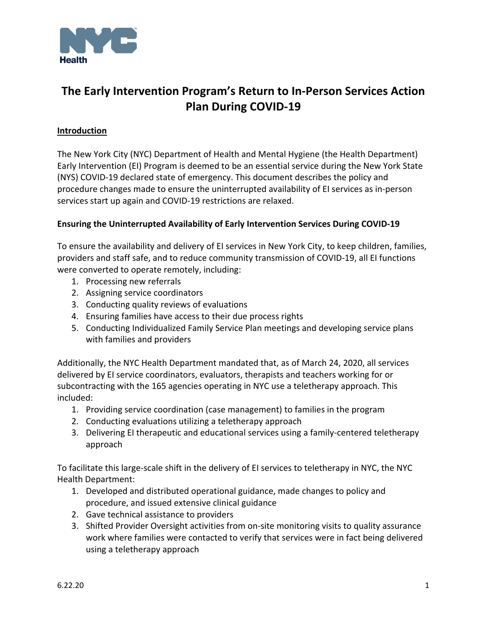

# **The Early Intervention Program's Return to In‐Person Services Action Plan During COVID‐19**

#### **Introduction**

The New York City (NYC) Department of Health and Mental Hygiene (the Health Department) Early Intervention (EI) Program is deemed to be an essential service during the New York State (NYS) COVID‐19 declared state of emergency. This document describes the policy and procedure changes made to ensure the uninterrupted availability of EI services as in‐person services start up again and COVID‐19 restrictions are relaxed.

#### **Ensuring the Uninterrupted Availability of Early Intervention Services During COVID‐19**

To ensure the availability and delivery of EI services in New York City, to keep children, families, providers and staff safe, and to reduce community transmission of COVID‐19, all EI functions were converted to operate remotely, including:

- 1. Processing new referrals
- 2. Assigning service coordinators
- 3. Conducting quality reviews of evaluations
- 4. Ensuring families have access to their due process rights
- 5. Conducting Individualized Family Service Plan meetings and developing service plans with families and providers

Additionally, the NYC Health Department mandated that, as of March 24, 2020, all services delivered by EI service coordinators, evaluators, therapists and teachers working for or subcontracting with the 165 agencies operating in NYC use a teletherapy approach. This included:

- 1. Providing service coordination (case management) to families in the program
- 2. Conducting evaluations utilizing a teletherapy approach
- 3. Delivering EI therapeutic and educational services using a family‐centered teletherapy approach

To facilitate this large‐scale shift in the delivery of EI services to teletherapy in NYC, the NYC Health Department:

- 1. Developed and distributed operational guidance, made changes to policy and procedure, and issued extensive clinical guidance
- 2. Gave technical assistance to providers
- 3. Shifted Provider Oversight activities from on‐site monitoring visits to quality assurance work where families were contacted to verify that services were in fact being delivered using a teletherapy approach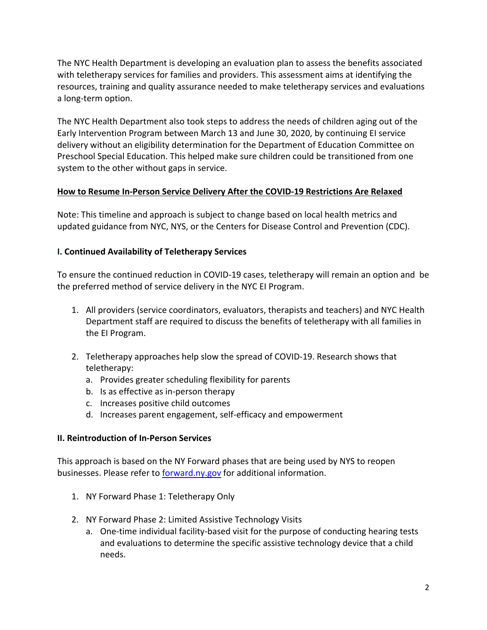The NYC Health Department is developing an evaluation plan to assess the benefits associated with teletherapy services for families and providers. This assessment aims at identifying the resources, training and quality assurance needed to make teletherapy services and evaluations a long‐term option.

The NYC Health Department also took steps to address the needs of children aging out of the Early Intervention Program between March 13 and June 30, 2020, by continuing EI service delivery without an eligibility determination for the Department of Education Committee on Preschool Special Education. This helped make sure children could be transitioned from one system to the other without gaps in service.

### **How to Resume In‐Person Service Delivery After the COVID‐19 Restrictions Are Relaxed**

Note: This timeline and approach is subject to change based on local health metrics and updated guidance from NYC, NYS, or the Centers for Disease Control and Prevention (CDC).

### **I. Continued Availability of Teletherapy Services**

To ensure the continued reduction in COVID‐19 cases, teletherapy will remain an option and be the preferred method of service delivery in the NYC EI Program.

- 1. All providers (service coordinators, evaluators, therapists and teachers) and NYC Health Department staff are required to discuss the benefits of teletherapy with all families in the EI Program.
- 2. Teletherapy approaches help slow the spread of COVID‐19. Research shows that teletherapy:
	- a. Provides greater scheduling flexibility for parents
	- b. Is as effective as in‐person therapy
	- c. Increases positive child outcomes
	- d. Increases parent engagement, self‐efficacy and empowerment

### **II. Reintroduction of In‐Person Services**

This approach is based on the NY Forward phases that are being used by NYS to reopen businesses. Please refer to forward.ny.gov for additional information.

- 1. NY Forward Phase 1: Teletherapy Only
- 2. NY Forward Phase 2: Limited Assistive Technology Visits
	- a. One‐time individual facility‐based visit for the purpose of conducting hearing tests and evaluations to determine the specific assistive technology device that a child needs.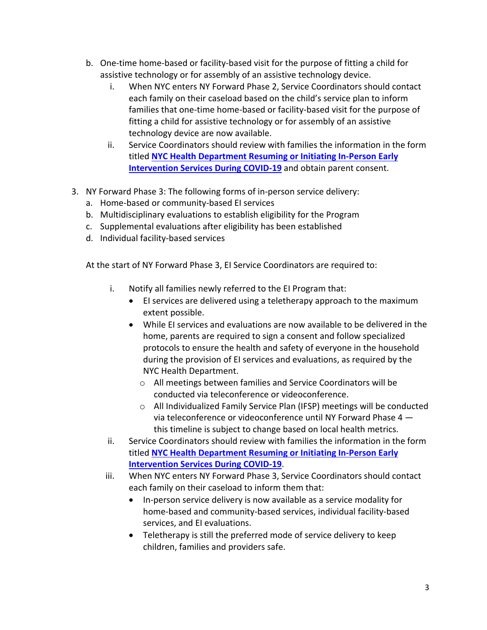- b. One‐time home‐based or facility‐based visit for the purpose of fitting a child for assistive technology or for assembly of an assistive technology device.
	- i. When NYC enters NY Forward Phase 2, Service Coordinators should contact each family on their caseload based on the child's service plan to inform families that one-time home-based or facility-based visit for the purpose of fitting a child for assistive technology or for assembly of an assistive technology device are now available.
	- ii. Service Coordinators should review with families the information in the form titled **NYC Health Department Resuming or Initiating In‐Person Early Intervention Services During COVID‐19** and obtain parent consent.
- 3. NY Forward Phase 3: The following forms of in‐person service delivery:
	- a. Home‐based or community‐based EI services
	- b. Multidisciplinary evaluations to establish eligibility for the Program
	- c. Supplemental evaluations after eligibility has been established
	- d. Individual facility‐based services

At the start of NY Forward Phase 3, EI Service Coordinators are required to:

- i. Notify all families newly referred to the EI Program that:
	- EI services are delivered using a teletherapy approach to the maximum extent possible.
	- While EI services and evaluations are now available to be delivered in the home, parents are required to sign a consent and follow specialized protocols to ensure the health and safety of everyone in the household during the provision of EI services and evaluations, as required by the NYC Health Department.
		- o All meetings between families and Service Coordinators will be conducted via teleconference or videoconference.
		- o All Individualized Family Service Plan (IFSP) meetings will be conducted via teleconference or videoconference until NY Forward Phase 4 this timeline is subject to change based on local health metrics.
- ii. Service Coordinators should review with families the information in the form titled **NYC Health Department Resuming or Initiating In‐Person Early Intervention Services During COVID‐19**.
- iii. When NYC enters NY Forward Phase 3, Service Coordinators should contact each family on their caseload to inform them that:
	- In-person service delivery is now available as a service modality for home‐based and community‐based services, individual facility‐based services, and EI evaluations.
	- Teletherapy is still the preferred mode of service delivery to keep children, families and providers safe.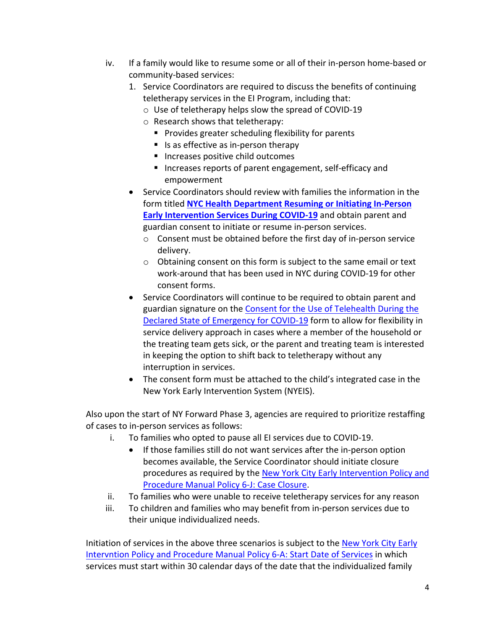- iv. If a family would like to resume some or all of their in‐person home‐based or community‐based services:
	- 1. Service Coordinators are required to discuss the benefits of continuing teletherapy services in the EI Program, including that:
		- o Use of teletherapy helps slow the spread of COVID‐19
		- o Research shows that teletherapy:
			- **Provides greater scheduling flexibility for parents**
			- Is as effective as in-person therapy
			- Increases positive child outcomes
			- Increases reports of parent engagement, self-efficacy and empowerment
	- Service Coordinators should review with families the information in the form titled **NYC Health Department Resuming or Initiating In‐Person Early Intervention Services During COVID‐19** and obtain parent and guardian consent to initiate or resume in‐person services.
		- o Consent must be obtained before the first day of in‐person service delivery.
		- o Obtaining consent on this form is subject to the same email or text work‐around that has been used in NYC during COVID‐19 for other consent forms.
	- Service Coordinators will continue to be required to obtain parent and guardian signature on the Consent for the Use of Telehealth During the Declared State of Emergency for COVID‐19 form to allow for flexibility in service delivery approach in cases where a member of the household or the treating team gets sick, or the parent and treating team is interested in keeping the option to shift back to teletherapy without any interruption in services.
	- The consent form must be attached to the child's integrated case in the New York Early Intervention System (NYEIS).

Also upon the start of NY Forward Phase 3, agencies are required to prioritize restaffing of cases to in‐person services as follows:

- i. To families who opted to pause all EI services due to COVID‐19.
	- If those families still do not want services after the in-person option becomes available, the Service Coordinator should initiate closure procedures as required by the New York City Early Intervention Policy and Procedure Manual Policy 6‐J: Case Closure.
- ii. To families who were unable to receive teletherapy services for any reason
- iii. To children and families who may benefit from in‐person services due to their unique individualized needs.

Initiation of services in the above three scenarios is subject to the New York City Early Intervntion Policy and Procedure Manual Policy 6‐A: Start Date of Services in which services must start within 30 calendar days of the date that the individualized family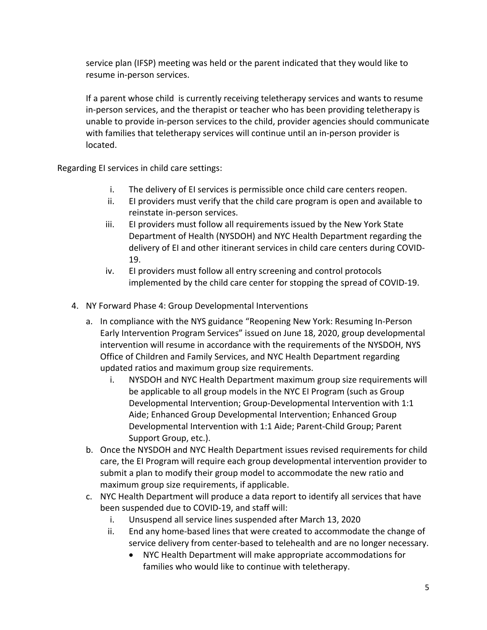service plan (IFSP) meeting was held or the parent indicated that they would like to resume in‐person services.

If a parent whose child is currently receiving teletherapy services and wants to resume in-person services, and the therapist or teacher who has been providing teletherapy is unable to provide in‐person services to the child, provider agencies should communicate with families that teletherapy services will continue until an in-person provider is located.

Regarding EI services in child care settings:

- i. The delivery of EI services is permissible once child care centers reopen.
- ii. EI providers must verify that the child care program is open and available to reinstate in‐person services.
- iii. EI providers must follow all requirements issued by the New York State Department of Health (NYSDOH) and NYC Health Department regarding the delivery of EI and other itinerant services in child care centers during COVID‐ 19.
- iv. EI providers must follow all entry screening and control protocols implemented by the child care center for stopping the spread of COVID‐19.
- 4. NY Forward Phase 4: Group Developmental Interventions
	- a. In compliance with the NYS guidance "Reopening New York: Resuming In‐Person Early Intervention Program Services" issued on June 18, 2020, group developmental intervention will resume in accordance with the requirements of the NYSDOH, NYS Office of Children and Family Services, and NYC Health Department regarding updated ratios and maximum group size requirements.
		- i. NYSDOH and NYC Health Department maximum group size requirements will be applicable to all group models in the NYC EI Program (such as Group Developmental Intervention; Group‐Developmental Intervention with 1:1 Aide; Enhanced Group Developmental Intervention; Enhanced Group Developmental Intervention with 1:1 Aide; Parent‐Child Group; Parent Support Group, etc.).
	- b. Once the NYSDOH and NYC Health Department issues revised requirements for child care, the EI Program will require each group developmental intervention provider to submit a plan to modify their group model to accommodate the new ratio and maximum group size requirements, if applicable.
	- c. NYC Health Department will produce a data report to identify all services that have been suspended due to COVID‐19, and staff will:
		- i. Unsuspend all service lines suspended after March 13, 2020
		- ii. End any home‐based lines that were created to accommodate the change of service delivery from center‐based to telehealth and are no longer necessary.
			- NYC Health Department will make appropriate accommodations for families who would like to continue with teletherapy.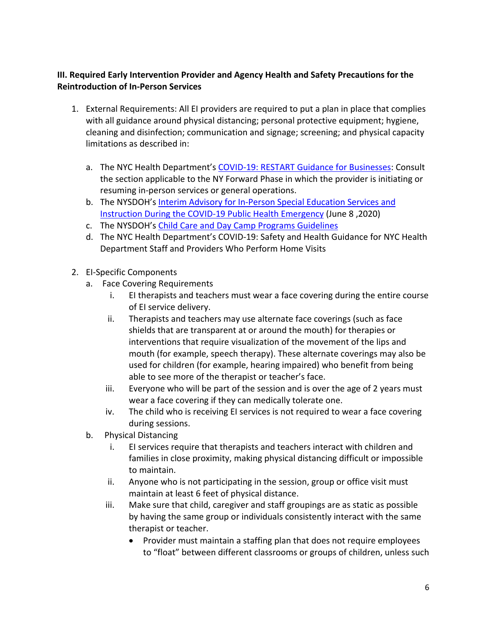### **III. Required Early Intervention Provider and Agency Health and Safety Precautions for the Reintroduction of In‐Person Services**

- 1. External Requirements: All EI providers are required to put a plan in place that complies with all guidance around physical distancing; personal protective equipment; hygiene, cleaning and disinfection; communication and signage; screening; and physical capacity limitations as described in:
	- a. The NYC Health Department's COVID‐19: RESTART Guidance for Businesses: Consult the section applicable to the NY Forward Phase in which the provider is initiating or resuming in‐person services or general operations.
	- b. The NYSDOH's Interim Advisory for In‐Person Special Education Services and Instruction During the COVID‐19 Public Health Emergency (June 8 ,2020)
	- c. The NYSDOH's Child Care and Day Camp Programs Guidelines
	- d. The NYC Health Department's COVID‐19: Safety and Health Guidance for NYC Health Department Staff and Providers Who Perform Home Visits
- 2. EI‐Specific Components
	- a. Face Covering Requirements
		- i. EI therapists and teachers must wear a face covering during the entire course of EI service delivery.
		- ii. Therapists and teachers may use alternate face coverings (such as face shields that are transparent at or around the mouth) for therapies or interventions that require visualization of the movement of the lips and mouth (for example, speech therapy). These alternate coverings may also be used for children (for example, hearing impaired) who benefit from being able to see more of the therapist or teacher's face.
		- iii. Everyone who will be part of the session and is over the age of 2 years must wear a face covering if they can medically tolerate one.
		- iv. The child who is receiving EI services is not required to wear a face covering during sessions.
	- b. Physical Distancing
		- i. EI services require that therapists and teachers interact with children and families in close proximity, making physical distancing difficult or impossible to maintain.
		- ii. Anyone who is not participating in the session, group or office visit must maintain at least 6 feet of physical distance.
		- iii. Make sure that child, caregiver and staff groupings are as static as possible by having the same group or individuals consistently interact with the same therapist or teacher.
			- Provider must maintain a staffing plan that does not require employees to "float" between different classrooms or groups of children, unless such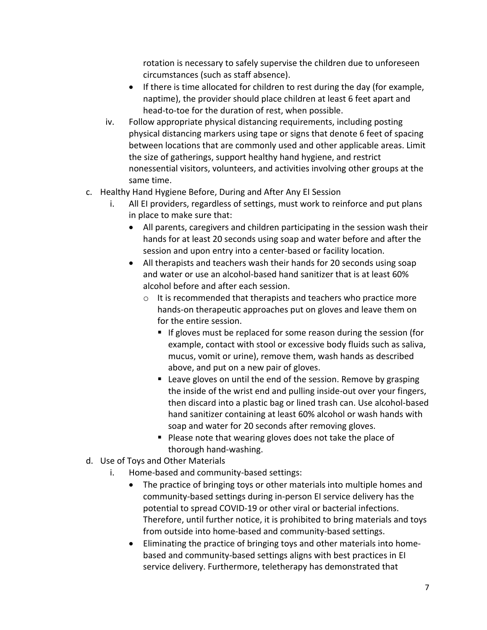rotation is necessary to safely supervise the children due to unforeseen circumstances (such as staff absence).

- If there is time allocated for children to rest during the day (for example, naptime), the provider should place children at least 6 feet apart and head-to-toe for the duration of rest, when possible.
- iv. Follow appropriate physical distancing requirements, including posting physical distancing markers using tape or signs that denote 6 feet of spacing between locations that are commonly used and other applicable areas. Limit the size of gatherings, support healthy hand hygiene, and restrict nonessential visitors, volunteers, and activities involving other groups at the same time.
- c. Healthy Hand Hygiene Before, During and After Any EI Session
	- i. All EI providers, regardless of settings, must work to reinforce and put plans in place to make sure that:
		- All parents, caregivers and children participating in the session wash their hands for at least 20 seconds using soap and water before and after the session and upon entry into a center-based or facility location.
		- All therapists and teachers wash their hands for 20 seconds using soap and water or use an alcohol‐based hand sanitizer that is at least 60% alcohol before and after each session.
			- o It is recommended that therapists and teachers who practice more hands‐on therapeutic approaches put on gloves and leave them on for the entire session.
				- $\blacksquare$  If gloves must be replaced for some reason during the session (for example, contact with stool or excessive body fluids such as saliva, mucus, vomit or urine), remove them, wash hands as described above, and put on a new pair of gloves.
				- Leave gloves on until the end of the session. Remove by grasping the inside of the wrist end and pulling inside‐out over your fingers, then discard into a plastic bag or lined trash can. Use alcohol‐based hand sanitizer containing at least 60% alcohol or wash hands with soap and water for 20 seconds after removing gloves.
				- Please note that wearing gloves does not take the place of thorough hand‐washing.
- d. Use of Toys and Other Materials
	- i. Home-based and community-based settings:
		- The practice of bringing toys or other materials into multiple homes and community‐based settings during in‐person EI service delivery has the potential to spread COVID‐19 or other viral or bacterial infections. Therefore, until further notice, it is prohibited to bring materials and toys from outside into home‐based and community‐based settings.
		- Eliminating the practice of bringing toys and other materials into home‐ based and community‐based settings aligns with best practices in EI service delivery. Furthermore, teletherapy has demonstrated that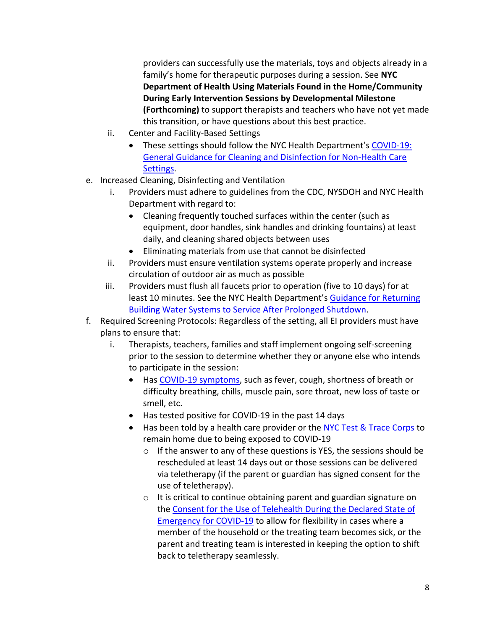providers can successfully use the materials, toys and objects already in a family's home for therapeutic purposes during a session. See **NYC Department of Health Using Materials Found in the Home/Community During Early Intervention Sessions by Developmental Milestone (Forthcoming)** to support therapists and teachers who have not yet made this transition, or have questions about this best practice.

- ii. Center and Facility‐Based Settings
	- These settings should follow the NYC Health Department's COVID‐19: General Guidance for Cleaning and Disinfection for Non‐Health Care Settings.
- e. Increased Cleaning, Disinfecting and Ventilation
	- i. Providers must adhere to guidelines from the CDC, NYSDOH and NYC Health Department with regard to:
		- Cleaning frequently touched surfaces within the center (such as equipment, door handles, sink handles and drinking fountains) at least daily, and cleaning shared objects between uses
		- Eliminating materials from use that cannot be disinfected
	- ii. Providers must ensure ventilation systems operate properly and increase circulation of outdoor air as much as possible
	- iii. Providers must flush all faucets prior to operation (five to 10 days) for at least 10 minutes. See the NYC Health Department's Guidance for Returning Building Water Systems to Service After Prolonged Shutdown.
- f. Required Screening Protocols: Regardless of the setting, all EI providers must have plans to ensure that:
	- i. Therapists, teachers, families and staff implement ongoing self‐screening prior to the session to determine whether they or anyone else who intends to participate in the session:
		- Has COVID-19 symptoms, such as fever, cough, shortness of breath or difficulty breathing, chills, muscle pain, sore throat, new loss of taste or smell, etc.
		- Has tested positive for COVID-19 in the past 14 days
		- Has been told by a health care provider or the NYC Test & Trace Corps to remain home due to being exposed to COVID‐19
			- o If the answer to any of these questions is YES, the sessions should be rescheduled at least 14 days out or those sessions can be delivered via teletherapy (if the parent or guardian has signed consent for the use of teletherapy).
			- o It is critical to continue obtaining parent and guardian signature on the Consent for the Use of Telehealth During the Declared State of Emergency for COVID-19 to allow for flexibility in cases where a member of the household or the treating team becomes sick, or the parent and treating team is interested in keeping the option to shift back to teletherapy seamlessly.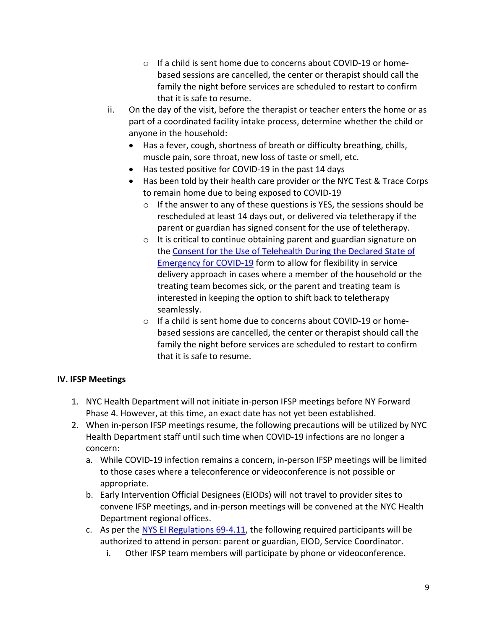- o If a child is sent home due to concerns about COVID‐19 or home‐ based sessions are cancelled, the center or therapist should call the family the night before services are scheduled to restart to confirm that it is safe to resume.
- ii. On the day of the visit, before the therapist or teacher enters the home or as part of a coordinated facility intake process, determine whether the child or anyone in the household:
	- Has a fever, cough, shortness of breath or difficulty breathing, chills, muscle pain, sore throat, new loss of taste or smell, etc.
	- Has tested positive for COVID‐19 in the past 14 days
	- Has been told by their health care provider or the NYC Test & Trace Corps to remain home due to being exposed to COVID‐19
		- $\circ$  If the answer to any of these questions is YES, the sessions should be rescheduled at least 14 days out, or delivered via teletherapy if the parent or guardian has signed consent for the use of teletherapy.
		- o It is critical to continue obtaining parent and guardian signature on the Consent for the Use of Telehealth During the Declared State of Emergency for COVID‐19 form to allow for flexibility in service delivery approach in cases where a member of the household or the treating team becomes sick, or the parent and treating team is interested in keeping the option to shift back to teletherapy seamlessly.
		- o If a child is sent home due to concerns about COVID‐19 or home‐ based sessions are cancelled, the center or therapist should call the family the night before services are scheduled to restart to confirm that it is safe to resume.

### **IV. IFSP Meetings**

- 1. NYC Health Department will not initiate in‐person IFSP meetings before NY Forward Phase 4. However, at this time, an exact date has not yet been established.
- 2. When in‐person IFSP meetings resume, the following precautions will be utilized by NYC Health Department staff until such time when COVID‐19 infections are no longer a concern:
	- a. While COVID‐19 infection remains a concern, in‐person IFSP meetings will be limited to those cases where a teleconference or videoconference is not possible or appropriate.
	- b. Early Intervention Official Designees (EIODs) will not travel to provider sites to convene IFSP meetings, and in‐person meetings will be convened at the NYC Health Department regional offices.
	- c. As per the NYS EI Regulations 69‐4.11, the following required participants will be authorized to attend in person: parent or guardian, EIOD, Service Coordinator.
		- i. Other IFSP team members will participate by phone or videoconference.